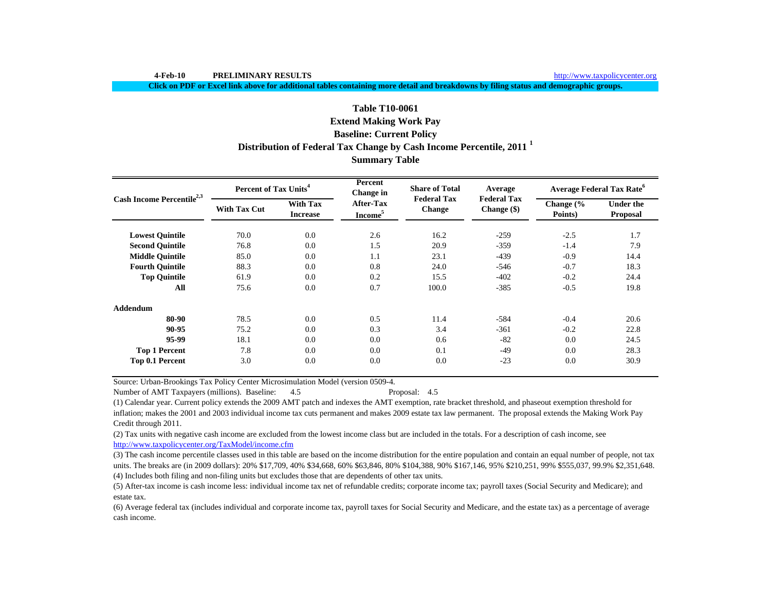**4-Feb-10 PRELIMINARY RESULTS**

**Click on PDF or Excel link above for additional tables containing more detail and breakdowns by filing status and demographic groups.**

# **Baseline: Current Policy Distribution of Federal Tax Change by Cash Income Percentile, 2011 <sup>1</sup> Table T10-0061 Extend Making Work Pay**

## **Summary Table**

| Cash Income Percentile <sup>2,3</sup> | Percent of Tax Units <sup>4</sup> |                                    | Percent<br>Change in                    | <b>Share of Total</b>               | Average                             | <b>Average Federal Tax Rate</b> <sup>6</sup> |                                     |  |
|---------------------------------------|-----------------------------------|------------------------------------|-----------------------------------------|-------------------------------------|-------------------------------------|----------------------------------------------|-------------------------------------|--|
|                                       | <b>With Tax Cut</b>               | <b>With Tax</b><br><b>Increase</b> | <b>After-Tax</b><br>Income <sup>5</sup> | <b>Federal Tax</b><br><b>Change</b> | <b>Federal Tax</b><br>Change $(\$)$ | Change (%<br>Points)                         | <b>Under the</b><br><b>Proposal</b> |  |
| <b>Lowest Quintile</b>                | 70.0                              | 0.0                                | 2.6                                     | 16.2                                | $-259$                              | $-2.5$                                       | 1.7                                 |  |
| <b>Second Quintile</b>                | 76.8                              | 0.0                                | 1.5                                     | 20.9                                | $-359$                              | $-1.4$                                       | 7.9                                 |  |
| <b>Middle Quintile</b>                | 85.0                              | 0.0                                | 1.1                                     | 23.1                                | $-439$                              | $-0.9$                                       | 14.4                                |  |
| <b>Fourth Quintile</b>                | 88.3                              | 0.0                                | 0.8                                     | 24.0                                | $-546$                              | $-0.7$                                       | 18.3                                |  |
| <b>Top Quintile</b>                   | 61.9                              | 0.0                                | 0.2                                     | 15.5                                | $-402$                              | $-0.2$                                       | 24.4                                |  |
| All                                   | 75.6                              | 0.0                                | 0.7                                     | 100.0                               | $-385$                              | $-0.5$                                       | 19.8                                |  |
| Addendum                              |                                   |                                    |                                         |                                     |                                     |                                              |                                     |  |
| 80-90                                 | 78.5                              | 0.0                                | 0.5                                     | 11.4                                | $-584$                              | $-0.4$                                       | 20.6                                |  |
| 90-95                                 | 75.2                              | 0.0                                | 0.3                                     | 3.4                                 | $-361$                              | $-0.2$                                       | 22.8                                |  |
| 95-99                                 | 18.1                              | 0.0                                | 0.0                                     | 0.6                                 | $-82$                               | 0.0                                          | 24.5                                |  |
| <b>Top 1 Percent</b>                  | 7.8                               | 0.0                                | 0.0                                     | 0.1                                 | $-49$                               | 0.0                                          | 28.3                                |  |
| Top 0.1 Percent                       | 3.0                               | 0.0                                | 0.0                                     | 0.0                                 | $-23$                               | 0.0                                          | 30.9                                |  |

Source: Urban-Brookings Tax Policy Center Microsimulation Model (version 0509-4.

Number of AMT Taxpayers (millions). Baseline: 4.5 Proposal: 4.5

(1) Calendar year. Current policy extends the 2009 AMT patch and indexes the AMT exemption, rate bracket threshold, and phaseout exemption threshold for inflation; makes the 2001 and 2003 individual income tax cuts permanent and makes 2009 estate tax law permanent. The proposal extends the Making Work Pay Credit through 2011.

(2) Tax units with negative cash income are excluded from the lowest income class but are included in the totals. For a description of cash income, see http://www.taxpolicycenter.org/TaxModel/income.cfm

(4) Includes both filing and non-filing units but excludes those that are dependents of other tax units. (3) The cash income percentile classes used in this table are based on the income distribution for the entire population and contain an equal number of people, not tax units. The breaks are (in 2009 dollars): 20% \$17,709, 40% \$34,668, 60% \$63,846, 80% \$104,388, 90% \$167,146, 95% \$210,251, 99% \$555,037, 99.9% \$2,351,648.

(5) After-tax income is cash income less: individual income tax net of refundable credits; corporate income tax; payroll taxes (Social Security and Medicare); and estate tax.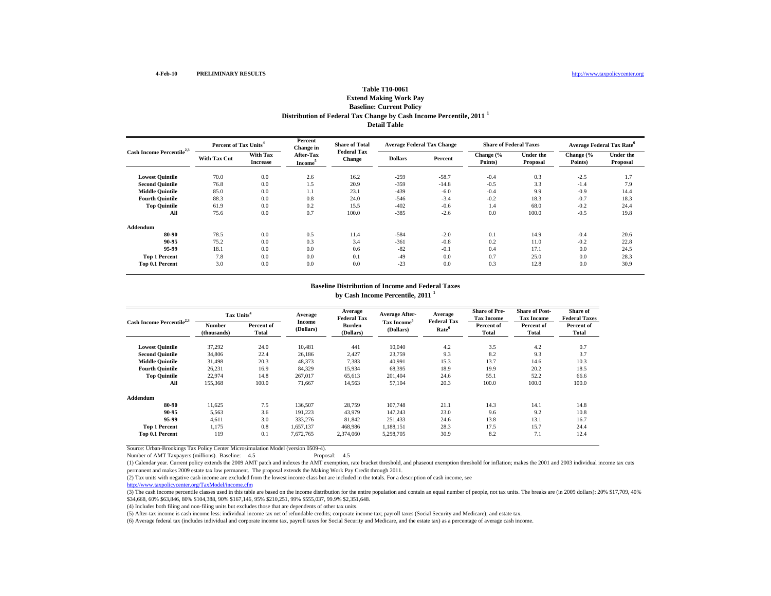### **Extend Making Work Pay Baseline: Current Policy Distribution of Federal Tax Change by Cash Income Percentile, 2011 <sup>1</sup> Detail Table**

| Cash Income Percentile <sup>2,3</sup> |                     | Percent of Tax Units <sup>4</sup> |                                  | <b>Share of Total</b><br><b>Federal Tax</b> | <b>Average Federal Tax Change</b> |         | <b>Share of Federal Taxes</b> |                              |                      | <b>Average Federal Tax Rate</b> <sup>6</sup> |
|---------------------------------------|---------------------|-----------------------------------|----------------------------------|---------------------------------------------|-----------------------------------|---------|-------------------------------|------------------------------|----------------------|----------------------------------------------|
|                                       | <b>With Tax Cut</b> | With Tax<br><b>Increase</b>       | After-Tax<br>Income <sup>5</sup> | <b>Change</b>                               | <b>Dollars</b>                    | Percent | Change (%<br>Points)          | Under the<br><b>Proposal</b> | Change (%<br>Points) | Under the<br>Proposal                        |
| <b>Lowest Quintile</b>                | 70.0                | 0.0                               | 2.6                              | 16.2                                        | $-259$                            | $-58.7$ | $-0.4$                        | 0.3                          | $-2.5$               | 1.7                                          |
| <b>Second Quintile</b>                | 76.8                | 0.0                               | 1.5                              | 20.9                                        | $-359$                            | $-14.8$ | $-0.5$                        | 3.3                          | $-1.4$               | 7.9                                          |
| <b>Middle Quintile</b>                | 85.0                | 0.0                               | 1.1                              | 23.1                                        | $-439$                            | $-6.0$  | $-0.4$                        | 9.9                          | $-0.9$               | 14.4                                         |
| <b>Fourth Ouintile</b>                | 88.3                | 0.0                               | 0.8                              | 24.0                                        | $-546$                            | $-3.4$  | $-0.2$                        | 18.3                         | $-0.7$               | 18.3                                         |
| <b>Top Quintile</b>                   | 61.9                | 0.0                               | 0.2                              | 15.5                                        | $-402$                            | $-0.6$  | 1.4                           | 68.0                         | $-0.2$               | 24.4                                         |
| All                                   | 75.6                | 0.0                               | 0.7                              | 100.0                                       | $-385$                            | $-2.6$  | 0.0                           | 100.0                        | $-0.5$               | 19.8                                         |
| Addendum                              |                     |                                   |                                  |                                             |                                   |         |                               |                              |                      |                                              |
| 80-90                                 | 78.5                | 0.0                               | 0.5                              | 11.4                                        | $-584$                            | $-2.0$  | 0.1                           | 14.9                         | $-0.4$               | 20.6                                         |
| 90-95                                 | 75.2                | 0.0                               | 0.3                              | 3.4                                         | $-361$                            | $-0.8$  | 0.2                           | 11.0                         | $-0.2$               | 22.8                                         |
| 95-99                                 | 18.1                | 0.0                               | 0.0                              | 0.6                                         | $-82$                             | $-0.1$  | 0.4                           | 17.1                         | 0.0                  | 24.5                                         |
| <b>Top 1 Percent</b>                  | 7.8                 | 0.0                               | 0.0                              | 0.1                                         | $-49$                             | 0.0     | 0.7                           | 25.0                         | 0.0                  | 28.3                                         |
| Top 0.1 Percent                       | 3.0                 | 0.0                               | 0.0                              | 0.0                                         | $-23$                             | 0.0     | 0.3                           | 12.8                         | 0.0                  | 30.9                                         |

#### **by Cash Income Percentile, 2011 <sup>1</sup> Baseline Distribution of Income and Federal Taxes**

| Cash Income Percentile <sup>2,3</sup> |                              | Tax Units <sup>4</sup> |                            | Average<br><b>Federal Tax</b> | <b>Average After-</b>                | Average<br><b>Federal Tax</b> | <b>Share of Pre-</b><br><b>Tax Income</b> | <b>Share of Post-</b><br><b>Tax Income</b> | Share of<br><b>Federal Taxes</b> |
|---------------------------------------|------------------------------|------------------------|----------------------------|-------------------------------|--------------------------------------|-------------------------------|-------------------------------------------|--------------------------------------------|----------------------------------|
|                                       | <b>Number</b><br>(thousands) | Percent of<br>Total    | <b>Income</b><br>(Dollars) | <b>Burden</b><br>(Dollars)    | Tax Income <sup>5</sup><br>(Dollars) | Rate <sup>6</sup>             | Percent of<br><b>Total</b>                | Percent of<br>Total                        | Percent of<br>Total              |
| <b>Lowest Quintile</b>                | 37,292                       | 24.0                   | 10,481                     | 441                           | 10,040                               | 4.2                           | 3.5                                       | 4.2                                        | 0.7                              |
| <b>Second Ouintile</b>                | 34,806                       | 22.4                   | 26,186                     | 2,427                         | 23,759                               | 9.3                           | 8.2                                       | 9.3                                        | 3.7                              |
| <b>Middle Quintile</b>                | 31,498                       | 20.3                   | 48,373                     | 7,383                         | 40.991                               | 15.3                          | 13.7                                      | 14.6                                       | 10.3                             |
| <b>Fourth Quintile</b>                | 26,231                       | 16.9                   | 84,329                     | 15,934                        | 68,395                               | 18.9                          | 19.9                                      | 20.2                                       | 18.5                             |
| <b>Top Quintile</b>                   | 22,974                       | 14.8                   | 267,017                    | 65,613                        | 201.404                              | 24.6                          | 55.1                                      | 52.2                                       | 66.6                             |
| All                                   | 155,368                      | 100.0                  | 71,667                     | 14,563                        | 57,104                               | 20.3                          | 100.0                                     | 100.0                                      | 100.0                            |
| Addendum                              |                              |                        |                            |                               |                                      |                               |                                           |                                            |                                  |
| 80-90                                 | 11.625                       | 7.5                    | 136.507                    | 28,759                        | 107.748                              | 21.1                          | 14.3                                      | 14.1                                       | 14.8                             |
| 90-95                                 | 5,563                        | 3.6                    | 191,223                    | 43,979                        | 147,243                              | 23.0                          | 9.6                                       | 9.2                                        | 10.8                             |
| 95-99                                 | 4,611                        | 3.0                    | 333,276                    | 81,842                        | 251,433                              | 24.6                          | 13.8                                      | 13.1                                       | 16.7                             |
| <b>Top 1 Percent</b>                  | 1.175                        | 0.8                    | 1,657,137                  | 468,986                       | 1.188.151                            | 28.3                          | 17.5                                      | 15.7                                       | 24.4                             |
| Top 0.1 Percent                       | 119                          | 0.1                    | 7,672,765                  | 2,374,060                     | 5,298,705                            | 30.9                          | 8.2                                       | 7.1                                        | 12.4                             |

Source: Urban-Brookings Tax Policy Center Microsimulation Model (version 0509-4).

Number of AMT Taxpayers (millions). Baseline: 4.5

(1) Calendar year. Current policy extends the 2009 AMT patch and indexes the AMT exemption, rate bracket threshold, and phaseout exemption threshold for inflation; makes the 2001 and 2003 individual income tax cuts permanent and makes 2009 estate tax law permanent. The proposal extends the Making Work Pay Credit through 2011.

(2) Tax units with negative cash income are excluded from the lowest income class but are included in the totals. For a description of cash income, see

ww.taxpolicycenter.org/TaxModel/income.cfm

(3) The cash income percentile classes used in this table are based on the income distribution for the entire population and contain an equal number of people, not tax units. The breaks are (in 2009 dollars): 20% \$17,709, \$34,668, 60% \$63,846, 80% \$104,388, 90% \$167,146, 95% \$210,251, 99% \$555,037, 99.9% \$2,351,648.

(4) Includes both filing and non-filing units but excludes those that are dependents of other tax units.

(5) After-tax income is cash income less: individual income tax net of refundable credits; corporate income tax; payroll taxes (Social Security and Medicare); and estate tax.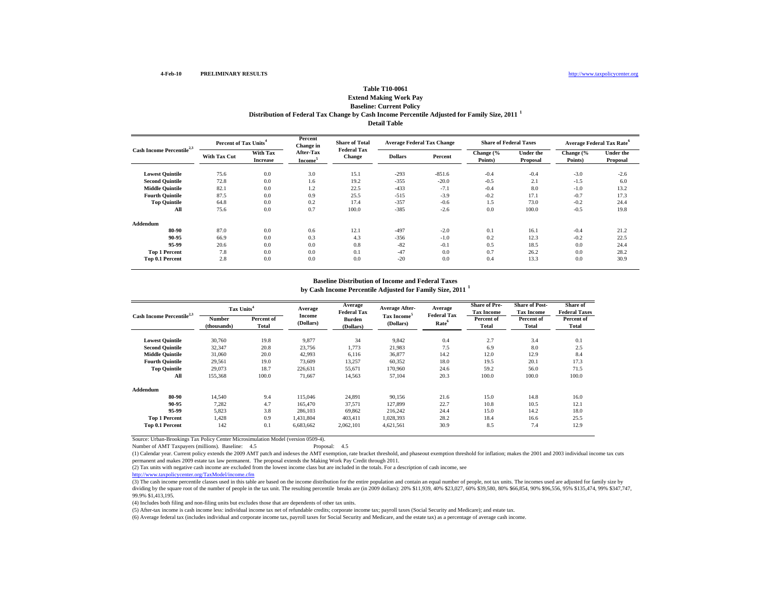## **Table T10-0061Extend Making Work Pay**

### **Baseline: Current Policy Distribution of Federal Tax Change by Cash Income Percentile Adjusted for Family Size, 2011 <sup>1</sup> Detail Table**

| Cash Income Percentile <sup>2,3</sup> |                     | Percent of Tax Units <sup>4</sup>  |                                  | <b>Share of Total</b>               | <b>Average Federal Tax Change</b> |          | <b>Share of Federal Taxes</b> |                              | <b>Average Federal Tax Rate<sup>6</sup></b> |                              |
|---------------------------------------|---------------------|------------------------------------|----------------------------------|-------------------------------------|-----------------------------------|----------|-------------------------------|------------------------------|---------------------------------------------|------------------------------|
|                                       | <b>With Tax Cut</b> | <b>With Tax</b><br><b>Increase</b> | After-Tax<br>Income <sup>5</sup> | <b>Federal Tax</b><br><b>Change</b> | <b>Dollars</b>                    | Percent  | Change (%<br>Points)          | <b>Under the</b><br>Proposal | Change (%<br>Points)                        | <b>Under the</b><br>Proposal |
| <b>Lowest Quintile</b>                | 75.6                | 0.0                                | 3.0                              | 15.1                                | $-293$                            | $-851.6$ | $-0.4$                        | $-0.4$                       | $-3.0$                                      | $-2.6$                       |
| <b>Second Quintile</b>                | 72.8                | 0.0                                | 1.6                              | 19.2                                | $-355$                            | $-20.0$  | $-0.5$                        | 2.1                          | $-1.5$                                      | 6.0                          |
| <b>Middle Quintile</b>                | 82.1                | 0.0                                | 1.2                              | 22.5                                | $-433$                            | $-7.1$   | $-0.4$                        | 8.0                          | $-1.0$                                      | 13.2                         |
| <b>Fourth Quintile</b>                | 87.5                | 0.0                                | 0.9                              | 25.5                                | $-515$                            | $-3.9$   | $-0.2$                        | 17.1                         | $-0.7$                                      | 17.3                         |
| <b>Top Quintile</b>                   | 64.8                | 0.0                                | 0.2                              | 17.4                                | $-357$                            | $-0.6$   | 1.5                           | 73.0                         | $-0.2$                                      | 24.4                         |
| All                                   | 75.6                | 0.0                                | 0.7                              | 100.0                               | $-385$                            | $-2.6$   | 0.0                           | 100.0                        | $-0.5$                                      | 19.8                         |
| Addendum                              |                     |                                    |                                  |                                     |                                   |          |                               |                              |                                             |                              |
| 80-90                                 | 87.0                | 0.0                                | 0.6                              | 12.1                                | $-497$                            | $-2.0$   | 0.1                           | 16.1                         | $-0.4$                                      | 21.2                         |
| 90-95                                 | 66.9                | 0.0                                | 0.3                              | 4.3                                 | $-356$                            | $-1.0$   | 0.2                           | 12.3                         | $-0.2$                                      | 22.5                         |
| 95-99                                 | 20.6                | 0.0                                | 0.0                              | 0.8                                 | $-82$                             | $-0.1$   | 0.5                           | 18.5                         | 0.0                                         | 24.4                         |
| <b>Top 1 Percent</b>                  | 7.8                 | 0.0                                | 0.0                              | 0.1                                 | $-47$                             | 0.0      | 0.7                           | 26.2                         | 0.0                                         | 28.2                         |
| Top 0.1 Percent                       | 2.8                 | 0.0                                | 0.0                              | 0.0                                 | $-20$                             | 0.0      | 0.4                           | 13.3                         | 0.0                                         | 30.9                         |

#### **Baseline Distribution of Income and Federal Taxes**

**by Cash Income Percentile Adjusted for Family Size, 2011 <sup>1</sup>**

| Cash Income Percentile <sup>2,3</sup> | Tax Units <sup>4</sup> |                     | Average             | Average<br><b>Federal Tax</b> | <b>Average After-</b>                | Average<br><b>Federal Tax</b> | <b>Share of Pre-</b><br><b>Tax Income</b> | <b>Share of Post-</b><br><b>Tax Income</b> | Share of<br><b>Federal Taxes</b> |
|---------------------------------------|------------------------|---------------------|---------------------|-------------------------------|--------------------------------------|-------------------------------|-------------------------------------------|--------------------------------------------|----------------------------------|
|                                       | Number<br>(thousands)  | Percent of<br>Total | Income<br>(Dollars) | Burden<br>(Dollars)           | Tax Income <sup>5</sup><br>(Dollars) | Rate <sup>6</sup>             | Percent of<br>Total                       | Percent of<br>Total                        | Percent of<br>Total              |
| <b>Lowest Quintile</b>                | 30,760                 | 19.8                | 9,877               | 34                            | 9,842                                | 0.4                           | 2.7                                       | 3.4                                        | 0.1                              |
| <b>Second Quintile</b>                | 32,347                 | 20.8                | 23,756              | 1,773                         | 21,983                               | 7.5                           | 6.9                                       | 8.0                                        | 2.5                              |
| <b>Middle Quintile</b>                | 31,060                 | 20.0                | 42,993              | 6,116                         | 36,877                               | 14.2                          | 12.0                                      | 12.9                                       | 8.4                              |
| <b>Fourth Ouintile</b>                | 29,561                 | 19.0                | 73,609              | 13,257                        | 60,352                               | 18.0                          | 19.5                                      | 20.1                                       | 17.3                             |
| <b>Top Quintile</b>                   | 29,073                 | 18.7                | 226.631             | 55,671                        | 170,960                              | 24.6                          | 59.2                                      | 56.0                                       | 71.5                             |
| All                                   | 155,368                | 100.0               | 71,667              | 14,563                        | 57,104                               | 20.3                          | 100.0                                     | 100.0                                      | 100.0                            |
| Addendum                              |                        |                     |                     |                               |                                      |                               |                                           |                                            |                                  |
| 80-90                                 | 14.540                 | 9.4                 | 115,046             | 24,891                        | 90.156                               | 21.6                          | 15.0                                      | 14.8                                       | 16.0                             |
| 90-95                                 | 7.282                  | 4.7                 | 165,470             | 37,571                        | 127,899                              | 22.7                          | 10.8                                      | 10.5                                       | 12.1                             |
| 95-99                                 | 5,823                  | 3.8                 | 286,103             | 69,862                        | 216,242                              | 24.4                          | 15.0                                      | 14.2                                       | 18.0                             |
| <b>Top 1 Percent</b>                  | 1,428                  | 0.9                 | 1,431,804           | 403,411                       | 1,028,393                            | 28.2                          | 18.4                                      | 16.6                                       | 25.5                             |
| Top 0.1 Percent                       | 142                    | 0.1                 | 6,683,662           | 2,062,101                     | 4,621,561                            | 30.9                          | 8.5                                       | 7.4                                        | 12.9                             |

Source: Urban-Brookings Tax Policy Center Microsimulation Model (version 0509-4).

Number of AMT Taxpayers (millions). Baseline: 4.5

(1) Calendar year. Current policy extends the 2009 AMT patch and indexes the AMT exemption, rate bracket threshold, and phaseout exemption threshold for inflation; makes the 2001 and 2003 individual income tax cuts permanent and makes 2009 estate tax law permanent. The proposal extends the Making Work Pay Credit through 2011.

(2) Tax units with negative cash income are excluded from the lowest income class but are included in the totals. For a description of cash income, see

http://www.taxpolicycenter.org/TaxModel/income.cfm

(3) The cash income percentile classes used in this table are based on the income distribution for the entire population and contain an equal number of people, not tax units. The incomes used are adjusted for family size by dividing by the square root of the number of people in the tax unit. The resulting percentile breaks are (in 2009 dollars): 20% \$11,939, 40% \$23,027, 60% \$39,580, 80% \$66,854, 90% \$96,556, 95% \$135,474, 99% \$347,747, 99.9% \$1,413,195.

(4) Includes both filing and non-filing units but excludes those that are dependents of other tax units.

(5) After-tax income is cash income less: individual income tax net of refundable credits; corporate income tax; payroll taxes (Social Security and Medicare); and estate tax.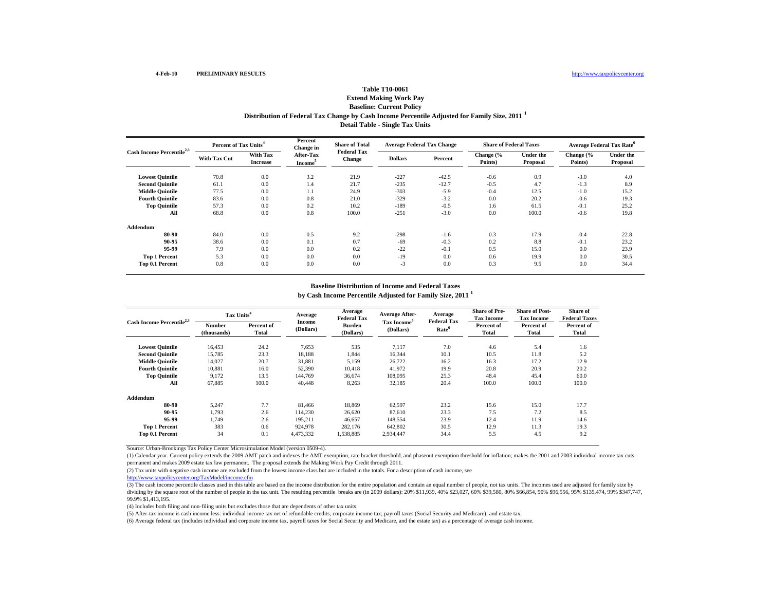### **Extend Making Work Pay Baseline: Current Policy Distribution of Federal Tax Change by Cash Income Percentile Adjusted for Family Size, 2011 <sup>1</sup> Detail Table - Single Tax Units**

| Cash Income Percentile <sup>2,3</sup> | Percent of Tax Units <sup>4</sup> |                             | Percent<br><b>Change</b> in      | <b>Share of Total</b><br><b>Federal Tax</b> | <b>Average Federal Tax Change</b> |         | <b>Share of Federal Taxes</b> |                              | <b>Average Federal Tax Rate<sup>6</sup></b> |                       |
|---------------------------------------|-----------------------------------|-----------------------------|----------------------------------|---------------------------------------------|-----------------------------------|---------|-------------------------------|------------------------------|---------------------------------------------|-----------------------|
|                                       | <b>With Tax Cut</b>               | With Tax<br><b>Increase</b> | After-Tax<br>Income <sup>3</sup> | <b>Change</b>                               | <b>Dollars</b>                    | Percent | Change (%<br>Points)          | <b>Under the</b><br>Proposal | Change (%<br>Points)                        | Under the<br>Proposal |
| <b>Lowest Quintile</b>                | 70.8                              | 0.0                         | 3.2                              | 21.9                                        | $-227$                            | $-42.5$ | $-0.6$                        | 0.9                          | $-3.0$                                      | 4.0                   |
| <b>Second Quintile</b>                | 61.1                              | 0.0                         | 1.4                              | 21.7                                        | $-235$                            | $-12.7$ | $-0.5$                        | 4.7                          | $-1.3$                                      | 8.9                   |
| <b>Middle Quintile</b>                | 77.5                              | 0.0                         | 1.1                              | 24.9                                        | $-303$                            | $-5.9$  | $-0.4$                        | 12.5                         | $-1.0$                                      | 15.2                  |
| <b>Fourth Ouintile</b>                | 83.6                              | 0.0                         | 0.8                              | 21.0                                        | $-329$                            | $-3.2$  | 0.0                           | 20.2                         | $-0.6$                                      | 19.3                  |
| <b>Top Quintile</b>                   | 57.3                              | 0.0                         | 0.2                              | 10.2                                        | $-189$                            | $-0.5$  | 1.6                           | 61.5                         | $-0.1$                                      | 25.2                  |
| All                                   | 68.8                              | 0.0                         | 0.8                              | 100.0                                       | $-251$                            | $-3.0$  | 0.0                           | 100.0                        | $-0.6$                                      | 19.8                  |
| Addendum                              |                                   |                             |                                  |                                             |                                   |         |                               |                              |                                             |                       |
| 80-90                                 | 84.0                              | 0.0                         | 0.5                              | 9.2                                         | $-298$                            | $-1.6$  | 0.3                           | 17.9                         | $-0.4$                                      | 22.8                  |
| 90-95                                 | 38.6                              | 0.0                         | 0.1                              | 0.7                                         | $-69$                             | $-0.3$  | 0.2                           | 8.8                          | $-0.1$                                      | 23.2                  |
| 95-99                                 | 7.9                               | 0.0                         | 0.0                              | 0.2                                         | $-22$                             | $-0.1$  | 0.5                           | 15.0                         | 0.0                                         | 23.9                  |
| <b>Top 1 Percent</b>                  | 5.3                               | 0.0                         | 0.0                              | 0.0                                         | $-19$                             | 0.0     | 0.6                           | 19.9                         | 0.0                                         | 30.5                  |
| Top 0.1 Percent                       | 0.8                               | 0.0                         | 0.0                              | 0.0                                         | $-3$                              | 0.0     | 0.3                           | 9.5                          | 0.0                                         | 34.4                  |

#### **by Cash Income Percentile Adjusted for Family Size, 2011 <sup>1</sup> Baseline Distribution of Income and Federal Taxes**

| Cash Income Percentile <sup>2,3</sup> | Tax Units <sup>4</sup> |                     | Average                    | Average<br><b>Federal Tax</b> | <b>Average After-</b>                | Average<br><b>Federal Tax</b> | <b>Share of Pre-</b><br><b>Tax Income</b> | <b>Share of Post-</b><br><b>Tax Income</b> | Share of<br><b>Federal Taxes</b> |
|---------------------------------------|------------------------|---------------------|----------------------------|-------------------------------|--------------------------------------|-------------------------------|-------------------------------------------|--------------------------------------------|----------------------------------|
|                                       | Number<br>(thousands)  | Percent of<br>Total | <b>Income</b><br>(Dollars) | <b>Burden</b><br>(Dollars)    | Tax Income <sup>5</sup><br>(Dollars) | Rate <sup>6</sup>             | Percent of<br>Total                       | Percent of<br>Total                        | Percent of<br>Total              |
| <b>Lowest Quintile</b>                | 16,453                 | 24.2                | 7,653                      | 535                           | 7,117                                | 7.0                           | 4.6                                       | 5.4                                        | 1.6                              |
| <b>Second Quintile</b>                | 15,785                 | 23.3                | 18,188                     | 1,844                         | 16,344                               | 10.1                          | 10.5                                      | 11.8                                       | 5.2                              |
| <b>Middle Quintile</b>                | 14,027                 | 20.7                | 31,881                     | 5,159                         | 26,722                               | 16.2                          | 16.3                                      | 17.2                                       | 12.9                             |
| <b>Fourth Ouintile</b>                | 10,881                 | 16.0                | 52,390                     | 10,418                        | 41,972                               | 19.9                          | 20.8                                      | 20.9                                       | 20.2                             |
| <b>Top Quintile</b>                   | 9.172                  | 13.5                | 144.769                    | 36,674                        | 108,095                              | 25.3                          | 48.4                                      | 45.4                                       | 60.0                             |
| All                                   | 67,885                 | 100.0               | 40,448                     | 8,263                         | 32,185                               | 20.4                          | 100.0                                     | 100.0                                      | 100.0                            |
| Addendum                              |                        |                     |                            |                               |                                      |                               |                                           |                                            |                                  |
| 80-90                                 | 5,247                  | 7.7                 | 81,466                     | 18,869                        | 62,597                               | 23.2                          | 15.6                                      | 15.0                                       | 17.7                             |
| 90-95                                 | 1,793                  | 2.6                 | 114,230                    | 26,620                        | 87,610                               | 23.3                          | 7.5                                       | 7.2                                        | 8.5                              |
| 95-99                                 | 1.749                  | 2.6                 | 195,211                    | 46,657                        | 148,554                              | 23.9                          | 12.4                                      | 11.9                                       | 14.6                             |
| <b>Top 1 Percent</b>                  | 383                    | 0.6                 | 924,978                    | 282,176                       | 642,802                              | 30.5                          | 12.9                                      | 11.3                                       | 19.3                             |
| Top 0.1 Percent                       | 34                     | 0.1                 | 4,473,332                  | 1,538,885                     | 2,934,447                            | 34.4                          | 5.5                                       | 4.5                                        | 9.2                              |

Source: Urban-Brookings Tax Policy Center Microsimulation Model (version 0509-4).

(1) Calendar year. Current policy extends the 2009 AMT patch and indexes the AMT exemption, rate bracket threshold, and phaseout exemption threshold for inflation; makes the 2001 and 2003 individual income tax cuts permanent and makes 2009 estate tax law permanent. The proposal extends the Making Work Pay Credit through 2011.

(2) Tax units with negative cash income are excluded from the lowest income class but are included in the totals. For a description of cash income, see

http://www.taxpolicycenter.org/TaxModel/income.cfm

(3) The cash income percentile classes used in this table are based on the income distribution for the entire population and contain an equal number of people, not tax units. The incomes used are adjusted for family size b dividing by the square root of the number of people in the tax unit. The resulting percentile breaks are (in 2009 dollars): 20% \$11,939, 40% \$23,027, 60% \$39,580, 80% \$66,854, 90% \$96,556, 95% \$135,474, 99% \$347,747, 99.9% \$1,413,195.

(4) Includes both filing and non-filing units but excludes those that are dependents of other tax units.

(5) After-tax income is cash income less: individual income tax net of refundable credits; corporate income tax; payroll taxes (Social Security and Medicare); and estate tax.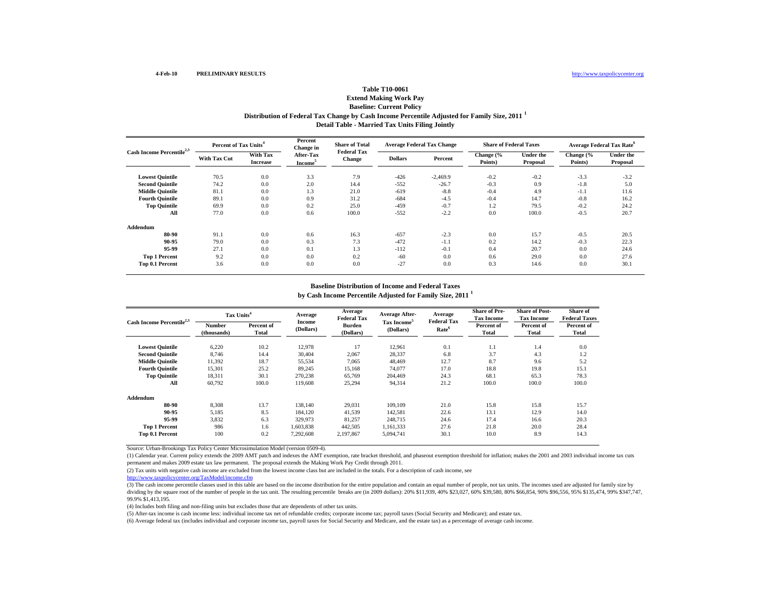### **Extend Making Work Pay Baseline: Current Policy Distribution of Federal Tax Change by Cash Income Percentile Adjusted for Family Size, 2011 <sup>1</sup> Detail Table - Married Tax Units Filing Jointly**

| Cash Income Percentile <sup>2,3</sup> | Percent of Tax Units <sup>4</sup> |                                    | Percent<br>Change in             | <b>Share of Total</b><br><b>Federal Tax</b> | <b>Average Federal Tax Change</b> |            | <b>Share of Federal Taxes</b> |                       | <b>Average Federal Tax Rate</b> <sup>6</sup> |                       |
|---------------------------------------|-----------------------------------|------------------------------------|----------------------------------|---------------------------------------------|-----------------------------------|------------|-------------------------------|-----------------------|----------------------------------------------|-----------------------|
|                                       | <b>With Tax Cut</b>               | <b>With Tax</b><br><b>Increase</b> | After-Tax<br>Income <sup>3</sup> | Change                                      | <b>Dollars</b>                    | Percent    | Change (%<br>Points)          | Under the<br>Proposal | Change (%<br>Points)                         | Under the<br>Proposal |
| <b>Lowest Quintile</b>                | 70.5                              | 0.0                                | 3.3                              | 7.9                                         | $-426$                            | $-2,469.9$ | $-0.2$                        | $-0.2$                | $-3.3$                                       | $-3.2$                |
| <b>Second Quintile</b>                | 74.2                              | 0.0                                | 2.0                              | 14.4                                        | $-552$                            | $-26.7$    | $-0.3$                        | 0.9                   | $-1.8$                                       | 5.0                   |
| <b>Middle Quintile</b>                | 81.1                              | 0.0                                | 1.3                              | 21.0                                        | $-619$                            | $-8.8$     | $-0.4$                        | 4.9                   | $-1.1$                                       | 11.6                  |
| <b>Fourth Ouintile</b>                | 89.1                              | 0.0                                | 0.9                              | 31.2                                        | $-684$                            | $-4.5$     | $-0.4$                        | 14.7                  | $-0.8$                                       | 16.2                  |
| <b>Top Quintile</b>                   | 69.9                              | 0.0                                | 0.2                              | 25.0                                        | $-459$                            | $-0.7$     | 1.2                           | 79.5                  | $-0.2$                                       | 24.2                  |
| All                                   | 77.0                              | 0.0                                | 0.6                              | 100.0                                       | $-552$                            | $-2.2$     | 0.0                           | 100.0                 | $-0.5$                                       | 20.7                  |
| Addendum                              |                                   |                                    |                                  |                                             |                                   |            |                               |                       |                                              |                       |
| 80-90                                 | 91.1                              | 0.0                                | 0.6                              | 16.3                                        | $-657$                            | $-2.3$     | 0.0                           | 15.7                  | $-0.5$                                       | 20.5                  |
| 90-95                                 | 79.0                              | 0.0                                | 0.3                              | 7.3                                         | $-472$                            | $-1.1$     | 0.2                           | 14.2                  | $-0.3$                                       | 22.3                  |
| 95-99                                 | 27.1                              | 0.0                                | 0.1                              | 1.3                                         | $-112$                            | $-0.1$     | 0.4                           | 20.7                  | 0.0                                          | 24.6                  |
| <b>Top 1 Percent</b>                  | 9.2                               | 0.0                                | 0.0                              | 0.2                                         | $-60$                             | 0.0        | 0.6                           | 29.0                  | 0.0                                          | 27.6                  |
| Top 0.1 Percent                       | 3.6                               | 0.0                                | 0.0                              | 0.0                                         | $-27$                             | 0.0        | 0.3                           | 14.6                  | 0.0                                          | 30.1                  |

#### **by Cash Income Percentile Adjusted for Family Size, 2011 <sup>1</sup> Baseline Distribution of Income and Federal Taxes**

| Cash Income Percentile <sup>2,3</sup> | Tax Units <sup>4</sup> |                     | Average                    | Average<br><b>Federal Tax</b> | <b>Average After-</b>                | Average<br><b>Federal Tax</b> | <b>Share of Pre-</b><br><b>Tax Income</b> | <b>Share of Post-</b><br><b>Tax Income</b> | Share of<br><b>Federal Taxes</b> |
|---------------------------------------|------------------------|---------------------|----------------------------|-------------------------------|--------------------------------------|-------------------------------|-------------------------------------------|--------------------------------------------|----------------------------------|
|                                       | Number<br>(thousands)  | Percent of<br>Total | <b>Income</b><br>(Dollars) | <b>Burden</b><br>(Dollars)    | Tax Income <sup>5</sup><br>(Dollars) | Rate <sup>6</sup>             | Percent of<br>Total                       | Percent of<br><b>Total</b>                 | Percent of<br>Total              |
| <b>Lowest Quintile</b>                | 6,220                  | 10.2                | 12,978                     | 17                            | 12,961                               | 0.1                           | 1.1                                       | 1.4                                        | 0.0                              |
| <b>Second Ouintile</b>                | 8.746                  | 14.4                | 30,404                     | 2,067                         | 28,337                               | 6.8                           | 3.7                                       | 4.3                                        | 1.2                              |
| <b>Middle Quintile</b>                | 11,392                 | 18.7                | 55,534                     | 7.065                         | 48.469                               | 12.7                          | 8.7                                       | 9.6                                        | 5.2                              |
| <b>Fourth Ouintile</b>                | 15,301                 | 25.2                | 89,245                     | 15,168                        | 74,077                               | 17.0                          | 18.8                                      | 19.8                                       | 15.1                             |
| <b>Top Quintile</b>                   | 18,311                 | 30.1                | 270,238                    | 65,769                        | 204,469                              | 24.3                          | 68.1                                      | 65.3                                       | 78.3                             |
| All                                   | 60,792                 | 100.0               | 119,608                    | 25,294                        | 94,314                               | 21.2                          | 100.0                                     | 100.0                                      | 100.0                            |
| Addendum                              |                        |                     |                            |                               |                                      |                               |                                           |                                            |                                  |
| 80-90                                 | 8,308                  | 13.7                | 138,140                    | 29,031                        | 109,109                              | 21.0                          | 15.8                                      | 15.8                                       | 15.7                             |
| 90-95                                 | 5,185                  | 8.5                 | 184,120                    | 41,539                        | 142,581                              | 22.6                          | 13.1                                      | 12.9                                       | 14.0                             |
| 95-99                                 | 3,832                  | 6.3                 | 329,973                    | 81,257                        | 248,715                              | 24.6                          | 17.4                                      | 16.6                                       | 20.3                             |
| <b>Top 1 Percent</b>                  | 986                    | 1.6                 | 1,603,838                  | 442,505                       | 1,161,333                            | 27.6                          | 21.8                                      | 20.0                                       | 28.4                             |
| Top 0.1 Percent                       | 100                    | 0.2                 | 7,292,608                  | 2,197,867                     | 5,094,741                            | 30.1                          | 10.0                                      | 8.9                                        | 14.3                             |

Source: Urban-Brookings Tax Policy Center Microsimulation Model (version 0509-4).

(1) Calendar year. Current policy extends the 2009 AMT patch and indexes the AMT exemption, rate bracket threshold, and phaseout exemption threshold for inflation; makes the 2001 and 2003 individual income tax cuts permanent and makes 2009 estate tax law permanent. The proposal extends the Making Work Pay Credit through 2011.

(2) Tax units with negative cash income are excluded from the lowest income class but are included in the totals. For a description of cash income, see

http://www.taxpolicycenter.org/TaxModel/income.cfm

(3) The cash income percentile classes used in this table are based on the income distribution for the entire population and contain an equal number of people, not tax units. The incomes used are adjusted for family size b dividing by the square root of the number of people in the tax unit. The resulting percentile breaks are (in 2009 dollars): 20% \$11,939, 40% \$23,027, 60% \$39,580, 80% \$66,854, 90% \$96,556, 95% \$135,474, 99% \$347,747, 99.9% \$1,413,195.

(4) Includes both filing and non-filing units but excludes those that are dependents of other tax units.

(5) After-tax income is cash income less: individual income tax net of refundable credits; corporate income tax; payroll taxes (Social Security and Medicare); and estate tax.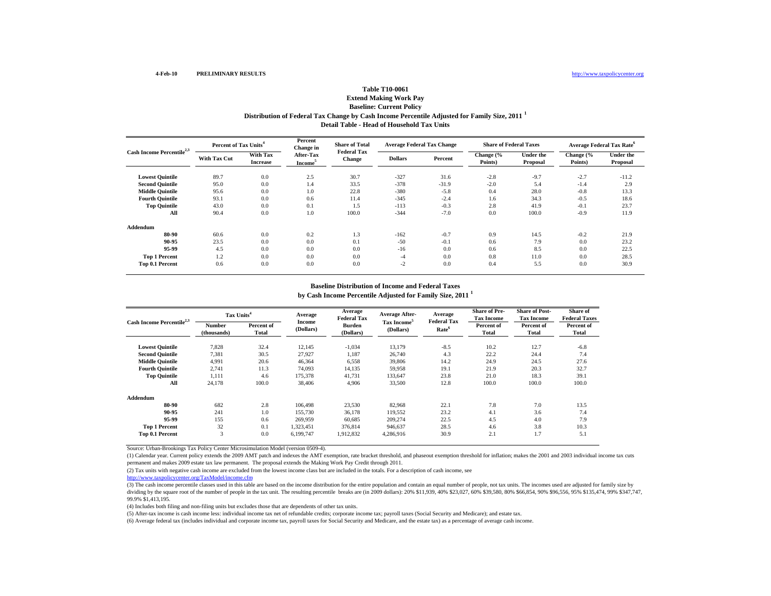### **Extend Making Work Pay Baseline: Current Policy Distribution of Federal Tax Change by Cash Income Percentile Adjusted for Family Size, 2011 <sup>1</sup> Detail Table - Head of Household Tax Units**

| Cash Income Percentile <sup>2,3</sup> | Percent of Tax Units <sup>4</sup> |                             | Percent<br><b>Change</b> in      | <b>Share of Total</b><br><b>Federal Tax</b> | <b>Average Federal Tax Change</b> |         | <b>Share of Federal Taxes</b> |                              |                      | <b>Average Federal Tax Rate</b> <sup>o</sup> |
|---------------------------------------|-----------------------------------|-----------------------------|----------------------------------|---------------------------------------------|-----------------------------------|---------|-------------------------------|------------------------------|----------------------|----------------------------------------------|
|                                       | <b>With Tax Cut</b>               | With Tax<br><b>Increase</b> | After-Tax<br>Income <sup>5</sup> | <b>Change</b>                               | <b>Dollars</b>                    | Percent | Change (%<br>Points)          | <b>Under the</b><br>Proposal | Change (%<br>Points) | Under the<br>Proposal                        |
| <b>Lowest Quintile</b>                | 89.7                              | 0.0                         | 2.5                              | 30.7                                        | $-327$                            | 31.6    | $-2.8$                        | $-9.7$                       | $-2.7$               | $-11.2$                                      |
| <b>Second Quintile</b>                | 95.0                              | 0.0                         | 1.4                              | 33.5                                        | $-378$                            | $-31.9$ | $-2.0$                        | 5.4                          | $-1.4$               | 2.9                                          |
| <b>Middle Quintile</b>                | 95.6                              | 0.0                         | 1.0                              | 22.8                                        | $-380$                            | $-5.8$  | 0.4                           | 28.0                         | $-0.8$               | 13.3                                         |
| <b>Fourth Ouintile</b>                | 93.1                              | 0.0                         | 0.6                              | 11.4                                        | $-345$                            | $-2.4$  | 1.6                           | 34.3                         | $-0.5$               | 18.6                                         |
| <b>Top Quintile</b>                   | 43.0                              | 0.0                         | 0.1                              | 1.5                                         | $-113$                            | $-0.3$  | 2.8                           | 41.9                         | $-0.1$               | 23.7                                         |
| All                                   | 90.4                              | 0.0                         | 1.0                              | 100.0                                       | $-344$                            | $-7.0$  | 0.0                           | 100.0                        | $-0.9$               | 11.9                                         |
| Addendum                              |                                   |                             |                                  |                                             |                                   |         |                               |                              |                      |                                              |
| 80-90                                 | 60.6                              | 0.0                         | 0.2                              | 1.3                                         | $-162$                            | $-0.7$  | 0.9                           | 14.5                         | $-0.2$               | 21.9                                         |
| 90-95                                 | 23.5                              | 0.0                         | 0.0                              | 0.1                                         | $-50$                             | $-0.1$  | 0.6                           | 7.9                          | 0.0                  | 23.2                                         |
| 95-99                                 | 4.5                               | 0.0                         | 0.0                              | 0.0                                         | $-16$                             | 0.0     | 0.6                           | 8.5                          | 0.0                  | 22.5                                         |
| <b>Top 1 Percent</b>                  | 1.2                               | 0.0                         | 0.0                              | 0.0                                         | $-4$                              | 0.0     | 0.8                           | 11.0                         | 0.0                  | 28.5                                         |
| Top 0.1 Percent                       | 0.6                               | 0.0                         | 0.0                              | 0.0                                         | $-2$                              | 0.0     | 0.4                           | 5.5                          | 0.0                  | 30.9                                         |

#### **by Cash Income Percentile Adjusted for Family Size, 2011 <sup>1</sup> Baseline Distribution of Income and Federal Taxes**

| Cash Income Percentile <sup>2,3</sup> | Tax Units <sup>4</sup> |                     | Average                    | Average<br><b>Federal Tax</b> | <b>Average After-</b>                | Average<br><b>Federal Tax</b> | <b>Share of Pre-</b><br><b>Tax Income</b> | <b>Share of Post-</b><br><b>Tax Income</b> | Share of<br><b>Federal Taxes</b> |
|---------------------------------------|------------------------|---------------------|----------------------------|-------------------------------|--------------------------------------|-------------------------------|-------------------------------------------|--------------------------------------------|----------------------------------|
|                                       | Number<br>(thousands)  | Percent of<br>Total | <b>Income</b><br>(Dollars) | <b>Burden</b><br>(Dollars)    | Tax Income <sup>5</sup><br>(Dollars) | Rate <sup>6</sup>             | Percent of<br>Total                       | Percent of<br>Total                        | Percent of<br>Total              |
| <b>Lowest Quintile</b>                | 7,828                  | 32.4                | 12,145                     | $-1,034$                      | 13,179                               | $-8.5$                        | 10.2                                      | 12.7                                       | $-6.8$                           |
| <b>Second Quintile</b>                | 7,381                  | 30.5                | 27,927                     | 1,187                         | 26,740                               | 4.3                           | 22.2                                      | 24.4                                       | 7.4                              |
| <b>Middle Quintile</b>                | 4,991                  | 20.6                | 46,364                     | 6,558                         | 39,806                               | 14.2                          | 24.9                                      | 24.5                                       | 27.6                             |
| <b>Fourth Quintile</b>                | 2,741                  | 11.3                | 74,093                     | 14,135                        | 59,958                               | 19.1                          | 21.9                                      | 20.3                                       | 32.7                             |
| <b>Top Quintile</b>                   | 1.111                  | 4.6                 | 175,378                    | 41.731                        | 133.647                              | 23.8                          | 21.0                                      | 18.3                                       | 39.1                             |
| All                                   | 24,178                 | 100.0               | 38,406                     | 4,906                         | 33,500                               | 12.8                          | 100.0                                     | 100.0                                      | 100.0                            |
| Addendum                              |                        |                     |                            |                               |                                      |                               |                                           |                                            |                                  |
| 80-90                                 | 682                    | 2.8                 | 106.498                    | 23,530                        | 82,968                               | 22.1                          | 7.8                                       | 7.0                                        | 13.5                             |
| 90-95                                 | 241                    | 1.0                 | 155,730                    | 36,178                        | 119,552                              | 23.2                          | 4.1                                       | 3.6                                        | 7.4                              |
| 95-99                                 | 155                    | 0.6                 | 269,959                    | 60,685                        | 209,274                              | 22.5                          | 4.5                                       | 4.0                                        | 7.9                              |
| <b>Top 1 Percent</b>                  | 32                     | 0.1                 | 1,323,451                  | 376,814                       | 946,637                              | 28.5                          | 4.6                                       | 3.8                                        | 10.3                             |
| Top 0.1 Percent                       | 3                      | 0.0                 | 6,199,747                  | 1,912,832                     | 4,286,916                            | 30.9                          | 2.1                                       | 1.7                                        | 5.1                              |

Source: Urban-Brookings Tax Policy Center Microsimulation Model (version 0509-4).

(1) Calendar year. Current policy extends the 2009 AMT patch and indexes the AMT exemption, rate bracket threshold, and phaseout exemption threshold for inflation; makes the 2001 and 2003 individual income tax cuts permanent and makes 2009 estate tax law permanent. The proposal extends the Making Work Pay Credit through 2011.

(2) Tax units with negative cash income are excluded from the lowest income class but are included in the totals. For a description of cash income, see

http://www.taxpolicycenter.org/TaxModel/income.cfm

(3) The cash income percentile classes used in this table are based on the income distribution for the entire population and contain an equal number of people, not tax units. The incomes used are adjusted for family size b dividing by the square root of the number of people in the tax unit. The resulting percentile breaks are (in 2009 dollars): 20% \$11,939, 40% \$23,027, 60% \$39,580, 80% \$66,854, 90% \$96,556, 95% \$135,474, 99% \$347,747, 99.9% \$1,413,195.

(4) Includes both filing and non-filing units but excludes those that are dependents of other tax units.

(5) After-tax income is cash income less: individual income tax net of refundable credits; corporate income tax; payroll taxes (Social Security and Medicare); and estate tax.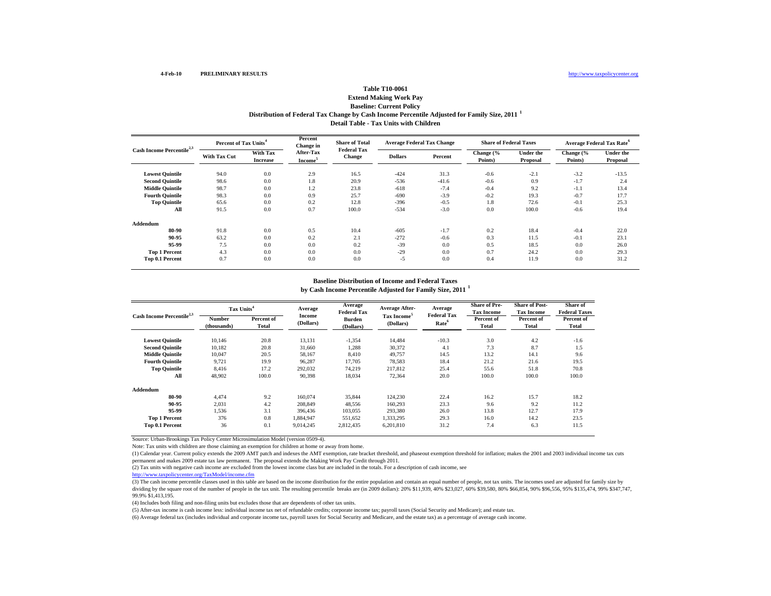### **Table T10-0061Extend Making Work Pay Baseline: Current Policy**

**Distribution of Federal Tax Change by Cash Income Percentile Adjusted for Family Size, 2011 <sup>1</sup>**

**Detail Table - Tax Units with Children**

| Cash Income Percentile <sup>2,3</sup> |              | Percent of Tax Units <sup>4</sup> |                                  | <b>Share of Total</b><br><b>Federal Tax</b> | <b>Average Federal Tax Change</b> |         | <b>Share of Federal Taxes</b> |                              | Average Federal Tax Rate <sup>6</sup> |                              |
|---------------------------------------|--------------|-----------------------------------|----------------------------------|---------------------------------------------|-----------------------------------|---------|-------------------------------|------------------------------|---------------------------------------|------------------------------|
|                                       | With Tax Cut | With Tax<br><b>Increase</b>       | After-Tax<br>Income <sup>3</sup> | <b>Change</b>                               | <b>Dollars</b>                    | Percent | Change (%<br>Points)          | <b>Under the</b><br>Proposal | Change (%<br>Points)                  | <b>Under the</b><br>Proposal |
| <b>Lowest Quintile</b>                | 94.0         | 0.0                               | 2.9                              | 16.5                                        | $-424$                            | 31.3    | $-0.6$                        | $-2.1$                       | $-3.2$                                | $-13.5$                      |
| <b>Second Quintile</b>                | 98.6         | 0.0                               | 1.8                              | 20.9                                        | $-536$                            | $-41.6$ | $-0.6$                        | 0.9                          | $-1.7$                                | 2.4                          |
| <b>Middle Quintile</b>                | 98.7         | 0.0                               | 1.2                              | 23.8                                        | $-618$                            | $-7.4$  | $-0.4$                        | 9.2                          | $-1.1$                                | 13.4                         |
| <b>Fourth Quintile</b>                | 98.3         | 0.0                               | 0.9                              | 25.7                                        | $-690$                            | $-3.9$  | $-0.2$                        | 19.3                         | $-0.7$                                | 17.7                         |
| <b>Top Quintile</b>                   | 65.6         | 0.0                               | 0.2                              | 12.8                                        | $-396$                            | $-0.5$  | 1.8                           | 72.6                         | $-0.1$                                | 25.3                         |
| All                                   | 91.5         | 0.0                               | 0.7                              | 100.0                                       | $-534$                            | $-3.0$  | 0.0                           | 100.0                        | $-0.6$                                | 19.4                         |
| Addendum                              |              |                                   |                                  |                                             |                                   |         |                               |                              |                                       |                              |
| 80-90                                 | 91.8         | 0.0                               | 0.5                              | 10.4                                        | $-605$                            | $-1.7$  | 0.2                           | 18.4                         | $-0.4$                                | 22.0                         |
| 90-95                                 | 63.2         | 0.0                               | 0.2                              | 2.1                                         | $-272$                            | $-0.6$  | 0.3                           | 11.5                         | $-0.1$                                | 23.1                         |
| 95-99                                 | 7.5          | 0.0                               | 0.0                              | 0.2                                         | $-39$                             | 0.0     | 0.5                           | 18.5                         | 0.0                                   | 26.0                         |
| <b>Top 1 Percent</b>                  | 4.3          | 0.0                               | 0.0                              | 0.0                                         | $-29$                             | 0.0     | 0.7                           | 24.2                         | 0.0                                   | 29.3                         |
| Top 0.1 Percent                       | 0.7          | 0.0                               | 0.0                              | 0.0                                         | $-5$                              | 0.0     | 0.4                           | 11.9                         | 0.0                                   | 31.2                         |

#### **Baseline Distribution of Income and Federal Taxes**

**by Cash Income Percentile Adjusted for Family Size, 2011 <sup>1</sup>**

| Cash Income Percentile <sup>2,3</sup> | Tax Units <sup>4</sup> |                     | Average             | Average<br><b>Federal Tax</b> | Average After-                       | Average<br><b>Federal Tax</b> | <b>Share of Pre-</b><br><b>Tax Income</b> | <b>Share of Post-</b><br><b>Tax Income</b> | Share of<br><b>Federal Taxes</b> |
|---------------------------------------|------------------------|---------------------|---------------------|-------------------------------|--------------------------------------|-------------------------------|-------------------------------------------|--------------------------------------------|----------------------------------|
|                                       | Number<br>(thousands)  | Percent of<br>Total | Income<br>(Dollars) | Burden<br>(Dollars)           | Tax Income <sup>5</sup><br>(Dollars) | Rate <sup>6</sup>             | Percent of<br>Total                       | Percent of<br>Total                        | Percent of<br>Total              |
| <b>Lowest Quintile</b>                | 10.146                 | 20.8                | 13,131              | $-1,354$                      | 14,484                               | $-10.3$                       | 3.0                                       | 4.2                                        | $-1.6$                           |
| <b>Second Quintile</b>                | 10.182                 | 20.8                | 31,660              | 1.288                         | 30,372                               | 4.1                           | 7.3                                       | 8.7                                        | 1.5                              |
| <b>Middle Quintile</b>                | 10.047                 | 20.5                | 58,167              | 8,410                         | 49,757                               | 14.5                          | 13.2                                      | 14.1                                       | 9.6                              |
| <b>Fourth Ouintile</b>                | 9,721                  | 19.9                | 96,287              | 17,705                        | 78,583                               | 18.4                          | 21.2                                      | 21.6                                       | 19.5                             |
| <b>Top Quintile</b>                   | 8.416                  | 17.2                | 292,032             | 74,219                        | 217,812                              | 25.4                          | 55.6                                      | 51.8                                       | 70.8                             |
| All                                   | 48.902                 | 100.0               | 90,398              | 18,034                        | 72,364                               | 20.0                          | 100.0                                     | 100.0                                      | 100.0                            |
| Addendum                              |                        |                     |                     |                               |                                      |                               |                                           |                                            |                                  |
| 80-90                                 | 4.474                  | 9.2                 | 160,074             | 35,844                        | 124,230                              | 22.4                          | 16.2                                      | 15.7                                       | 18.2                             |
| 90-95                                 | 2,031                  | 4.2                 | 208,849             | 48,556                        | 160,293                              | 23.3                          | 9.6                                       | 9.2                                        | 11.2                             |
| 95-99                                 | 1,536                  | 3.1                 | 396.436             | 103,055                       | 293,380                              | 26.0                          | 13.8                                      | 12.7                                       | 17.9                             |
| <b>Top 1 Percent</b>                  | 376                    | 0.8                 | 1,884,947           | 551,652                       | 1,333,295                            | 29.3                          | 16.0                                      | 14.2                                       | 23.5                             |
| Top 0.1 Percent                       | 36                     | 0.1                 | 9.014.245           | 2,812,435                     | 6,201,810                            | 31.2                          | 7.4                                       | 6.3                                        | 11.5                             |

Source: Urban-Brookings Tax Policy Center Microsimulation Model (version 0509-4).

Note: Tax units with children are those claiming an exemption for children at home or away from home.

(1) Calendar year. Current policy extends the 2009 AMT patch and indexes the AMT exemption, rate bracket threshold, and phaseout exemption threshold for inflation; makes the 2001 and 2003 individual income tax cuts permanent and makes 2009 estate tax law permanent. The proposal extends the Making Work Pay Credit through 2011.

(2) Tax units with negative cash income are excluded from the lowest income class but are included in the totals. For a description of cash income, see

http://www.taxpolicycenter.org/TaxModel/income.cfm

(3) The cash income percentile classes used in this table are based on the income distribution for the entire population and contain an equal number of people, not tax units. The incomes used are adjusted for family size by dividing by the square root of the number of people in the tax unit. The resulting percentile breaks are (in 2009 dollars): 20% \$11,939, 40% \$23,027, 60% \$39,580, 80% \$66,854, 90% \$96,556, 95% \$135,474, 99% \$347,747, 99.9% \$1,413,195.

(4) Includes both filing and non-filing units but excludes those that are dependents of other tax units.

(5) After-tax income is cash income less: individual income tax net of refundable credits; corporate income tax; payroll taxes (Social Security and Medicare); and estate tax.